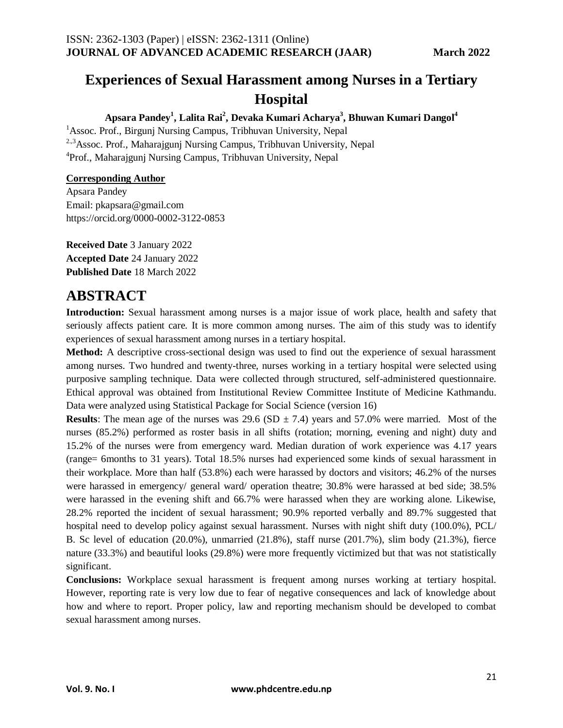# **Experiences of Sexual Harassment among Nurses in a Tertiary Hospital**

#### **Apsara Pandey<sup>1</sup> , Lalita Rai<sup>2</sup> , Devaka Kumari Acharya<sup>3</sup> , Bhuwan Kumari Dangol<sup>4</sup>**

<sup>1</sup> Assoc. Prof., Birgunj Nursing Campus, Tribhuvan University, Nepal 2.,3Assoc. Prof., Maharajgunj Nursing Campus, Tribhuvan University, Nepal <sup>4</sup>Prof., Maharajgunj Nursing Campus, Tribhuvan University, Nepal

#### **Corresponding Author**

Apsara Pandey Email: pkapsara@gmail.com https://orcid.org/0000-0002-3122-0853

**Received Date** 3 January 2022 **Accepted Date** 24 January 2022 **Published Date** 18 March 2022

### **ABSTRACT**

**Introduction:** Sexual harassment among nurses is a major issue of work place, health and safety that seriously affects patient care. It is more common among nurses. The aim of this study was to identify experiences of sexual harassment among nurses in a tertiary hospital.

**Method:** A descriptive cross-sectional design was used to find out the experience of sexual harassment among nurses. Two hundred and twenty-three, nurses working in a tertiary hospital were selected using purposive sampling technique. Data were collected through structured, self-administered questionnaire. Ethical approval was obtained from Institutional Review Committee Institute of Medicine Kathmandu. Data were analyzed using Statistical Package for Social Science (version 16)

**Results**: The mean age of the nurses was 29.6 (SD  $\pm$  7.4) years and 57.0% were married. Most of the nurses (85.2%) performed as roster basis in all shifts (rotation; morning, evening and night) duty and 15.2% of the nurses were from emergency ward. Median duration of work experience was 4.17 years (range= 6months to 31 years). Total 18.5% nurses had experienced some kinds of sexual harassment in their workplace. More than half (53.8%) each were harassed by doctors and visitors; 46.2% of the nurses were harassed in emergency/ general ward/ operation theatre; 30.8% were harassed at bed side; 38.5% were harassed in the evening shift and 66.7% were harassed when they are working alone. Likewise, 28.2% reported the incident of sexual harassment; 90.9% reported verbally and 89.7% suggested that hospital need to develop policy against sexual harassment. Nurses with night shift duty (100.0%), PCL/ B. Sc level of education (20.0%), unmarried (21.8%), staff nurse (201.7%), slim body (21.3%), fierce nature (33.3%) and beautiful looks (29.8%) were more frequently victimized but that was not statistically significant.

**Conclusions:** Workplace sexual harassment is frequent among nurses working at tertiary hospital. However, reporting rate is very low due to fear of negative consequences and lack of knowledge about how and where to report. Proper policy, law and reporting mechanism should be developed to combat sexual harassment among nurses.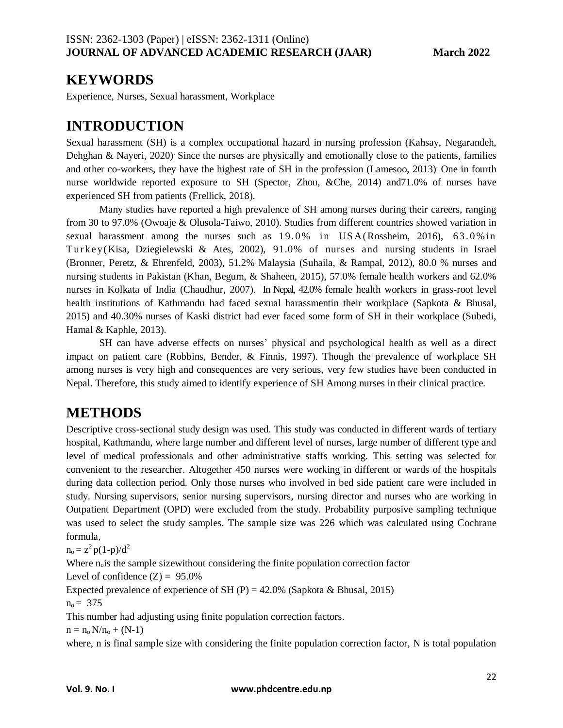### **KEYWORDS**

Experience, Nurses, Sexual harassment, Workplace

## **INTRODUCTION**

Sexual harassment (SH) is a complex occupational hazard in nursing profession (Kahsay, Negarandeh, Dehghan & Nayeri, 2020). Since the nurses are physically and emotionally close to the patients, families and other co-workers, they have the highest rate of SH in the profession (Lamesoo, 2013). One in fourth nurse worldwide reported exposure to SH (Spector, Zhou, &Che, 2014) and71.0% of nurses have experienced SH from patients (Frellick, 2018).

Many studies have reported a high prevalence of SH among nurses during their careers, ranging from 30 to 97.0% [\(O](https://oas.monster.com/RealMedia/ads/click_lx.ads/us.monster.en/career-advice/How-Nurses-Can-Fight-Sexual-Harassment/273250574/Middle1/default/empty.gif/797162445a46674d62444941434c5756?x)woaje & Olusola-Taiwo, 2010). Studies from different countries showed variation in sexual harassment among the nurses such as  $19.0\%$  in USA(Rossheim, 2016), 63.0% in Turkey(Kisa, Dziegielewski & Ates, 2002), 91.0% of nurses and nursing students in Israel (Bronner, Peretz, & Ehrenfeld, 2003), 51.2% Malaysia (Suhaila, & Rampal, 2012), 80.0 % nurses and nursing students in Pakistan (Khan, Begum, & Shaheen, 2015), 57.0% female health workers and 62.0% nurses in Kolkata of India (Chaudhur, 2007). In Nepal, 42.0% female health workers in grass-root level health institutions of Kathmandu had faced sexual harassmentin their workplace (Sapkota & Bhusal, 2015) and 40.30% nurses of Kaski district had ever faced some form of SH in their workplace (Subedi, Hamal & Kaphle, 2013).

SH can have adverse effects on nurses' physical and psychological health as well as a direct impact on patient care (Robbins, Bender, & Finnis, 1997). Though the prevalence of workplace SH among nurses is very high and consequences are very serious, very few studies have been conducted in Nepal. Therefore, this study aimed to identify experience of SH Among nurses in their clinical practice.

### **METHODS**

Descriptive cross-sectional study design was used. This study was conducted in different wards of tertiary hospital, Kathmandu, where large number and different level of nurses, large number of different type and level of medical professionals and other administrative staffs working. This setting was selected for convenient to the researcher. Altogether 450 nurses were working in different or wards of the hospitals during data collection period. Only those nurses who involved in bed side patient care were included in study. Nursing supervisors, senior nursing supervisors, nursing director and nurses who are working in Outpatient Department (OPD) were excluded from the study. Probability purposive sampling technique was used to select the study samples. The sample size was 226 which was calculated using Cochrane formula,

 $n_o = z^2 p(1-p)/d^2$ 

Where  $n<sub>o</sub>$  is the sample sizewithout considering the finite population correction factor

Level of confidence  $(Z) = 95.0\%$ 

Expected prevalence of experience of SH (P) =  $42.0\%$  (Sapkota & Bhusal, 2015)

 $n_0 = 375$ 

This number had adjusting using finite population correction factors.

 $n = n_0 N/n_0 + (N-1)$ 

where, n is final sample size with considering the finite population correction factor, N is total population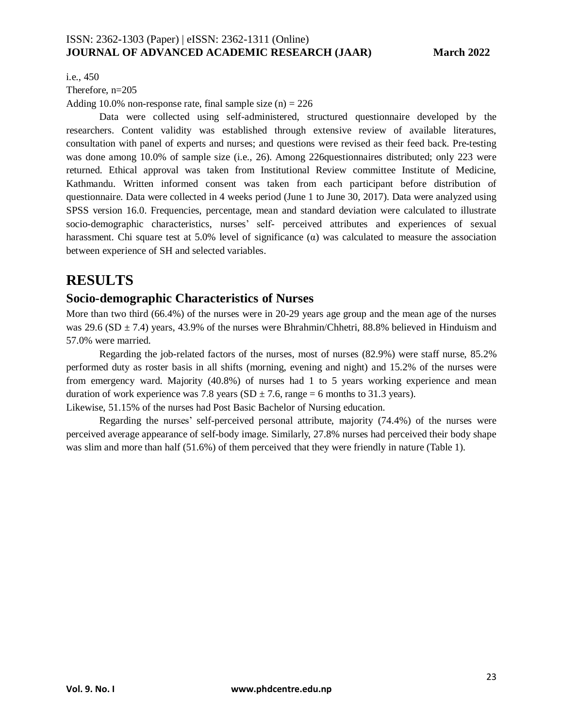i.e., 450

Therefore, n=205

Adding 10.0% non-response rate, final sample size  $(n) = 226$ 

Data were collected using self-administered, structured questionnaire developed by the researchers. Content validity was established through extensive review of available literatures, consultation with panel of experts and nurses; and questions were revised as their feed back. Pre-testing was done among 10.0% of sample size (i.e., 26). Among 226questionnaires distributed; only 223 were returned. Ethical approval was taken from Institutional Review committee Institute of Medicine, Kathmandu. Written informed consent was taken from each participant before distribution of questionnaire. Data were collected in 4 weeks period (June 1 to June 30, 2017). Data were analyzed using SPSS version 16.0. Frequencies, percentage, mean and standard deviation were calculated to illustrate socio-demographic characteristics, nurses' self- perceived attributes and experiences of sexual harassment. Chi square test at 5.0% level of significance ( $\alpha$ ) was calculated to measure the association between experience of SH and selected variables.

### **RESULTS**

### **Socio-demographic Characteristics of Nurses**

More than two third (66.4%) of the nurses were in 20-29 years age group and the mean age of the nurses was 29.6 (SD  $\pm$  7.4) years, 43.9% of the nurses were Bhrahmin/Chhetri, 88.8% believed in Hinduism and 57.0% were married.

Regarding the job-related factors of the nurses, most of nurses (82.9%) were staff nurse, 85.2% performed duty as roster basis in all shifts (morning, evening and night) and 15.2% of the nurses were from emergency ward. Majority (40.8%) of nurses had 1 to 5 years working experience and mean duration of work experience was 7.8 years (SD  $\pm$  7.6, range = 6 months to 31.3 years).

Likewise, 51.15% of the nurses had Post Basic Bachelor of Nursing education.

Regarding the nurses' self-perceived personal attribute, majority (74.4%) of the nurses were perceived average appearance of self-body image. Similarly, 27.8% nurses had perceived their body shape was slim and more than half (51.6%) of them perceived that they were friendly in nature (Table 1).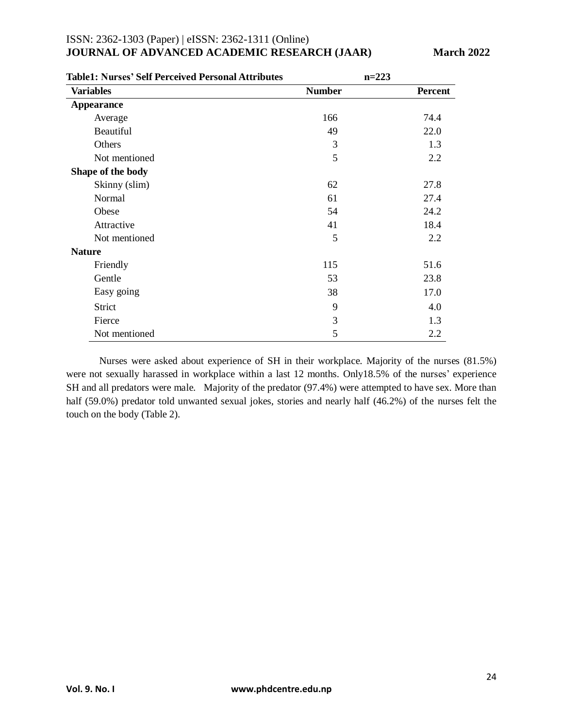| <b>Table1: Nurses' Self Perceived Personal Attributes</b> | $n=223$       |                |
|-----------------------------------------------------------|---------------|----------------|
| <b>Variables</b>                                          | <b>Number</b> | <b>Percent</b> |
| <b>Appearance</b>                                         |               |                |
| Average                                                   | 166           | 74.4           |
| <b>Beautiful</b>                                          | 49            | 22.0           |
| Others                                                    | 3             | 1.3            |
| Not mentioned                                             | 5             | 2.2            |
| Shape of the body                                         |               |                |
| Skinny (slim)                                             | 62            | 27.8           |
| Normal                                                    | 61            | 27.4           |
| Obese                                                     | 54            | 24.2           |
| Attractive                                                | 41            | 18.4           |
| Not mentioned                                             | 5             | 2.2            |
| <b>Nature</b>                                             |               |                |
| Friendly                                                  | 115           | 51.6           |
| Gentle                                                    | 53            | 23.8           |
| Easy going                                                | 38            | 17.0           |
| Strict                                                    | 9             | 4.0            |
| Fierce                                                    | 3             | 1.3            |
| Not mentioned                                             | 5             | 2.2            |

Nurses were asked about experience of SH in their workplace. Majority of the nurses (81.5%) were not sexually harassed in workplace within a last 12 months. Only18.5% of the nurses' experience SH and all predators were male. Majority of the predator (97.4%) were attempted to have sex. More than half (59.0%) predator told unwanted sexual jokes, stories and nearly half (46.2%) of the nurses felt the touch on the body (Table 2).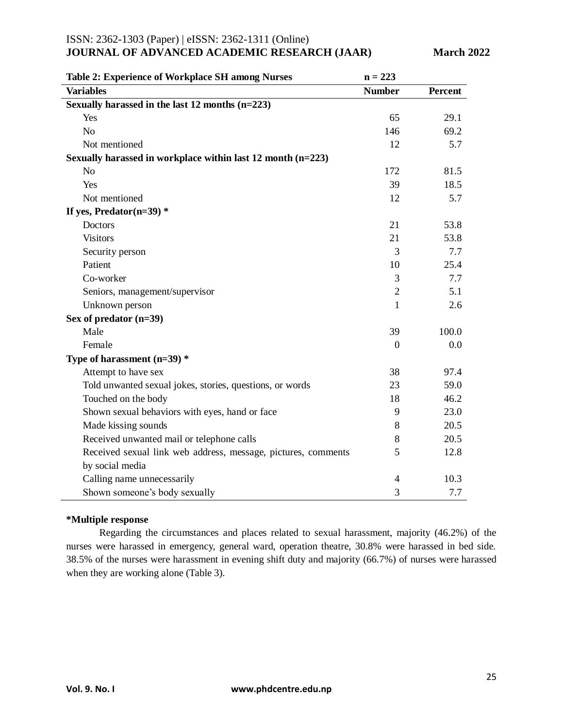### ISSN: 2362-1303 (Paper) | eISSN: 2362-1311 (Online)

### **JOURNAL OF ADVANCED ACADEMIC RESEARCH (JAAR)** March 2022

| Table 2: Experience of Workplace SH among Nurses              | $n = 223$      |                |
|---------------------------------------------------------------|----------------|----------------|
| <b>Variables</b>                                              | <b>Number</b>  | <b>Percent</b> |
| Sexually harassed in the last 12 months (n=223)               |                |                |
| Yes                                                           | 65             | 29.1           |
| N <sub>o</sub>                                                | 146            | 69.2           |
| Not mentioned                                                 | 12             | 5.7            |
| Sexually harassed in workplace within last $12$ month (n=223) |                |                |
| N <sub>o</sub>                                                | 172            | 81.5           |
| Yes                                                           | 39             | 18.5           |
| Not mentioned                                                 | 12             | 5.7            |
| If yes, Predator $(n=39)$ *                                   |                |                |
| <b>Doctors</b>                                                | 21             | 53.8           |
| <b>Visitors</b>                                               | 21             | 53.8           |
| Security person                                               | 3              | 7.7            |
| Patient                                                       | 10             | 25.4           |
| Co-worker                                                     | 3              | 7.7            |
| Seniors, management/supervisor                                | $\overline{2}$ | 5.1            |
| Unknown person                                                | 1              | 2.6            |
| Sex of predator $(n=39)$                                      |                |                |
| Male                                                          | 39             | 100.0          |
| Female                                                        | $\theta$       | 0.0            |
| Type of harassment $(n=39)$ *                                 |                |                |
| Attempt to have sex                                           | 38             | 97.4           |
| Told unwanted sexual jokes, stories, questions, or words      | 23             | 59.0           |
| Touched on the body                                           | 18             | 46.2           |
| Shown sexual behaviors with eyes, hand or face                | 9              | 23.0           |
| Made kissing sounds                                           | 8              | 20.5           |
| Received unwanted mail or telephone calls                     | 8              | 20.5           |
| Received sexual link web address, message, pictures, comments | 5              | 12.8           |
| by social media                                               |                |                |
| Calling name unnecessarily                                    | $\overline{4}$ | 10.3           |
| Shown someone's body sexually                                 | 3              | 7.7            |

#### **\*Multiple response**

Regarding the circumstances and places related to sexual harassment, majority (46.2%) of the nurses were harassed in emergency, general ward, operation theatre, 30.8% were harassed in bed side. 38.5% of the nurses were harassment in evening shift duty and majority (66.7%) of nurses were harassed when they are working alone (Table 3).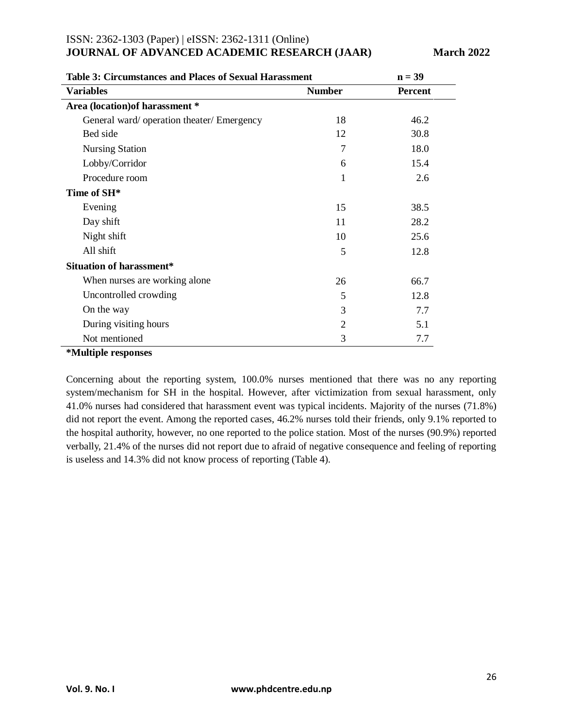| Table 3: Circumstances and Places of Sexual Harassment | $n = 39$       |                |  |
|--------------------------------------------------------|----------------|----------------|--|
| <b>Variables</b>                                       | <b>Number</b>  | <b>Percent</b> |  |
| Area (location) of harassment *                        |                |                |  |
| General ward/operation theater/ Emergency              | 18             | 46.2           |  |
| Bed side                                               | 12             | 30.8           |  |
| <b>Nursing Station</b>                                 | $\overline{7}$ | 18.0           |  |
| Lobby/Corridor                                         | 6              | 15.4           |  |
| Procedure room                                         | 1              | 2.6            |  |
| Time of SH*                                            |                |                |  |
| Evening                                                | 15             | 38.5           |  |
| Day shift                                              | 11             | 28.2           |  |
| Night shift                                            | 10             | 25.6           |  |
| All shift                                              | 5              | 12.8           |  |
| <b>Situation of harassment*</b>                        |                |                |  |
| When nurses are working alone                          | 26             | 66.7           |  |
| Uncontrolled crowding                                  | 5              | 12.8           |  |
| On the way                                             | 3              | 7.7            |  |
| During visiting hours                                  | 2              | 5.1            |  |
| Not mentioned                                          | 3              | 7.7            |  |

#### **Table 3: Circumstances and Places of Sexual Harassment n = 39**

#### **\*Multiple responses**

Concerning about the reporting system, 100.0% nurses mentioned that there was no any reporting system/mechanism for SH in the hospital. However, after victimization from sexual harassment, only 41.0% nurses had considered that harassment event was typical incidents. Majority of the nurses (71.8%) did not report the event. Among the reported cases, 46.2% nurses told their friends, only 9.1% reported to the hospital authority, however, no one reported to the police station. Most of the nurses (90.9%) reported verbally, 21.4% of the nurses did not report due to afraid of negative consequence and feeling of reporting is useless and 14.3% did not know process of reporting (Table 4).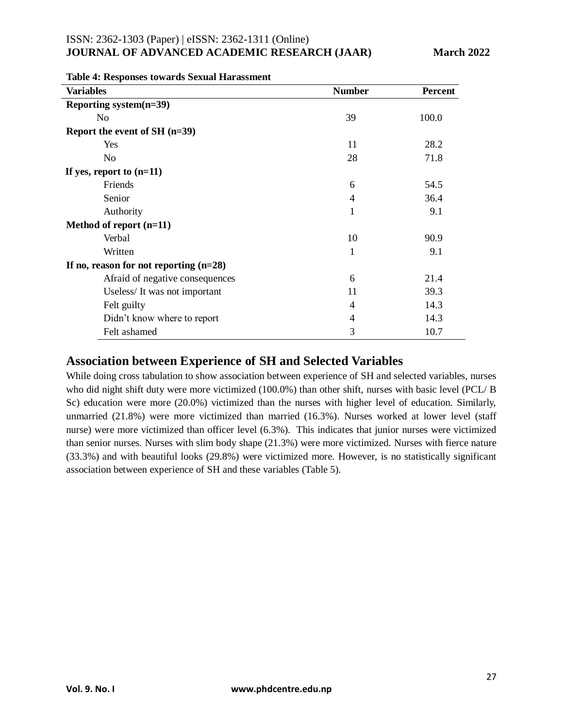| <b>Variables</b>                         | <b>Number</b>  | <b>Percent</b> |
|------------------------------------------|----------------|----------------|
| Reporting system(n=39)                   |                |                |
| N <sub>0</sub>                           | 39             | 100.0          |
| Report the event of SH $(n=39)$          |                |                |
| Yes                                      | 11             | 28.2           |
| N <sub>0</sub>                           | 28             | 71.8           |
| If yes, report to $(n=11)$               |                |                |
| Friends                                  | 6              | 54.5           |
| Senior                                   | 4              | 36.4           |
| Authority                                | 1              | 9.1            |
| Method of report $(n=11)$                |                |                |
| Verbal                                   | 10             | 90.9           |
| Written                                  | 1              | 9.1            |
| If no, reason for not reporting $(n=28)$ |                |                |
| Afraid of negative consequences          | 6              | 21.4           |
| Useless/It was not important             | 11             | 39.3           |
| Felt guilty                              | $\overline{4}$ | 14.3           |
| Didn't know where to report              | $\overline{4}$ | 14.3           |
| Felt ashamed                             | 3              | 10.7           |

#### **Table 4: Responses towards Sexual Harassment**

### **Association between Experience of SH and Selected Variables**

While doing cross tabulation to show association between experience of SH and selected variables, nurses who did night shift duty were more victimized (100.0%) than other shift, nurses with basic level (PCL/ B Sc) education were more (20.0%) victimized than the nurses with higher level of education. Similarly, unmarried (21.8%) were more victimized than married (16.3%). Nurses worked at lower level (staff nurse) were more victimized than officer level (6.3%). This indicates that junior nurses were victimized than senior nurses. Nurses with slim body shape (21.3%) were more victimized. Nurses with fierce nature (33.3%) and with beautiful looks (29.8%) were victimized more. However, is no statistically significant association between experience of SH and these variables (Table 5).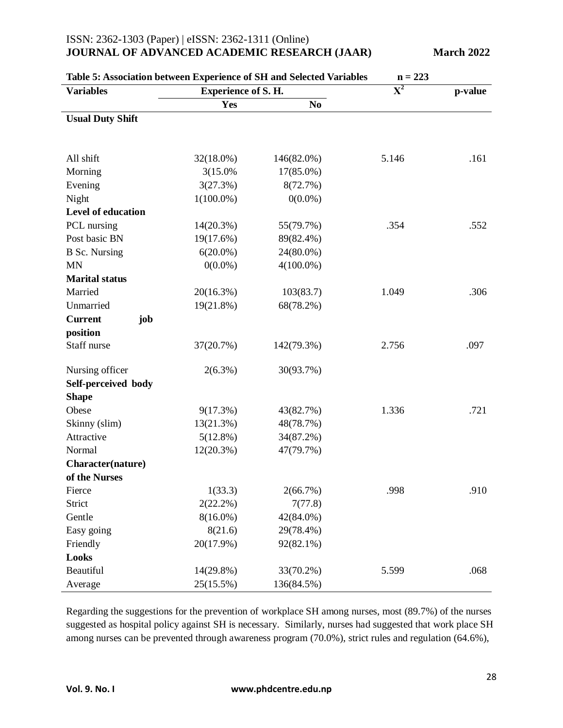| Table 5: Association between Experience of SH and Selected Variables<br>$n = 223$ |                            |              |                           |         |
|-----------------------------------------------------------------------------------|----------------------------|--------------|---------------------------|---------|
| <b>Variables</b>                                                                  | <b>Experience of S. H.</b> |              | $\overline{\mathbf{X}^2}$ | p-value |
|                                                                                   | Yes                        | No           |                           |         |
| <b>Usual Duty Shift</b>                                                           |                            |              |                           |         |
|                                                                                   |                            |              |                           |         |
|                                                                                   |                            |              |                           |         |
| All shift                                                                         | 32(18.0%)                  | 146(82.0%)   | 5.146                     | .161    |
| Morning                                                                           | 3(15.0%)                   | 17(85.0%)    |                           |         |
| Evening                                                                           | 3(27.3%)                   | 8(72.7%)     |                           |         |
| Night                                                                             | $1(100.0\%)$               | $0(0.0\%)$   |                           |         |
| <b>Level of education</b>                                                         |                            |              |                           |         |
| PCL nursing                                                                       | 14(20.3%)                  | 55(79.7%)    | .354                      | .552    |
| Post basic BN                                                                     | 19(17.6%)                  | 89(82.4%)    |                           |         |
| <b>B</b> Sc. Nursing                                                              | $6(20.0\%)$                | 24(80.0%)    |                           |         |
| <b>MN</b>                                                                         | $0(0.0\%)$                 | $4(100.0\%)$ |                           |         |
| <b>Marital status</b>                                                             |                            |              |                           |         |
| Married                                                                           | 20(16.3%)                  | 103(83.7)    | 1.049                     | .306    |
| Unmarried                                                                         | 19(21.8%)                  | 68(78.2%)    |                           |         |
| job<br><b>Current</b>                                                             |                            |              |                           |         |
| position                                                                          |                            |              |                           |         |
| Staff nurse                                                                       | 37(20.7%)                  | 142(79.3%)   | 2.756                     | .097    |
|                                                                                   |                            |              |                           |         |
| Nursing officer                                                                   | $2(6.3\%)$                 | 30(93.7%)    |                           |         |
| Self-perceived body                                                               |                            |              |                           |         |
| <b>Shape</b>                                                                      |                            |              |                           |         |
| Obese                                                                             | 9(17.3%)                   | 43(82.7%)    | 1.336                     | .721    |
| Skinny (slim)                                                                     | 13(21.3%)                  | 48(78.7%)    |                           |         |
| Attractive                                                                        | 5(12.8%)                   | 34(87.2%)    |                           |         |
| Normal                                                                            | $12(20.3\%)$               | 47(79.7%)    |                           |         |
| Character(nature)                                                                 |                            |              |                           |         |
| of the Nurses                                                                     |                            |              |                           |         |
| Fierce                                                                            | 1(33.3)                    | 2(66.7%)     | .998                      | .910    |
| Strict                                                                            | $2(22.2\%)$                | 7(77.8)      |                           |         |
| Gentle                                                                            | $8(16.0\%)$                | 42(84.0%)    |                           |         |
| Easy going                                                                        | 8(21.6)                    | 29(78.4%)    |                           |         |
| Friendly                                                                          | 20(17.9%)                  | 92(82.1%)    |                           |         |
| <b>Looks</b>                                                                      |                            |              |                           |         |
|                                                                                   |                            |              |                           |         |
| Beautiful                                                                         | 14(29.8%)                  | 33(70.2%)    | 5.599                     | .068    |
| Average                                                                           | 25(15.5%)                  | 136(84.5%)   |                           |         |

Regarding the suggestions for the prevention of workplace SH among nurses, most (89.7%) of the nurses suggested as hospital policy against SH is necessary. Similarly, nurses had suggested that work place SH among nurses can be prevented through awareness program (70.0%), strict rules and regulation (64.6%),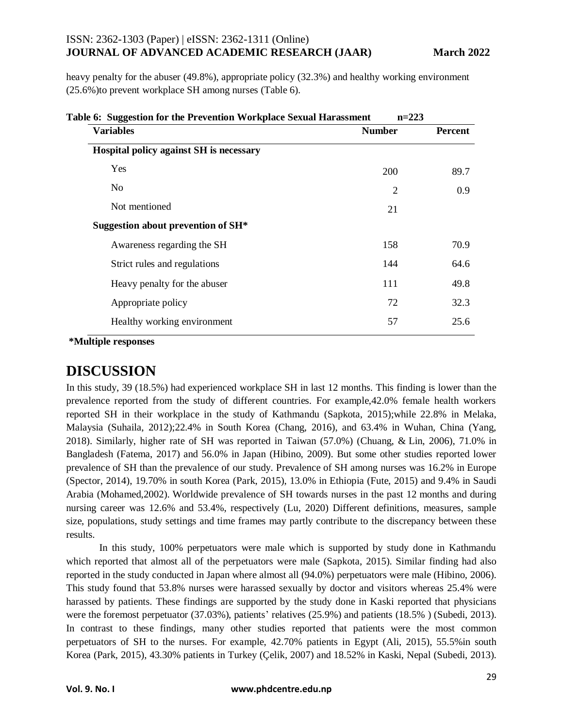heavy penalty for the abuser (49.8%), appropriate policy (32.3%) and healthy working environment (25.6%)to prevent workplace SH among nurses (Table 6).

| <b>Variables</b>                        | <b>Number</b>  | Percent |
|-----------------------------------------|----------------|---------|
| Hospital policy against SH is necessary |                |         |
| <b>Yes</b>                              | 200            | 89.7    |
| N <sub>0</sub>                          | $\overline{2}$ | 0.9     |
| Not mentioned                           | 21             |         |
| Suggestion about prevention of SH*      |                |         |
| Awareness regarding the SH              | 158            | 70.9    |
| Strict rules and regulations            | 144            | 64.6    |
| Heavy penalty for the abuser            | 111            | 49.8    |
| Appropriate policy                      | 72             | 32.3    |
| Healthy working environment             | 57             | 25.6    |

**\*Multiple responses**

### **DISCUSSION**

In this study, 39 (18.5%) had experienced workplace SH in last 12 months. This finding is lower than the prevalence reported from the study of different countries. For example,42.0% female health workers reported SH in their workplace in the study of Kathmandu (Sapkota, 2015);while 22.8% in Melaka, Malaysia (Suhaila, 2012);22.4% in South Korea (Chang, 2016), and 63.4% in Wuhan, China (Yang, 2018). Similarly, higher rate of SH was reported in Taiwan (57.0%) (Chuang, & Lin, 2006), 71.0% in Bangladesh (Fatema, 2017) and 56.0% in Japan (Hibino, 2009). But some other studies reported lower prevalence of SH than the prevalence of our study. Prevalence of SH among nurses was 16.2% in Europe (Spector, 2014), 19.70% in south Korea (Park, 2015), 13.0% in Ethiopia (Fute, 2015) and 9.4% in Saudi Arabia (Mohamed,2002). Worldwide prevalence of SH towards nurses in the past 12 months and during nursing career was 12.6% and 53.4%, respectively (Lu, 2020) Different definitions, measures, sample size, populations, study settings and time frames may partly contribute to the discrepancy between these results.

In this study, 100% perpetuators were male which is supported by study done in Kathmandu which reported that almost all of the perpetuators were male (Sapkota, 2015). Similar finding had also reported in the study conducted in Japan where almost all (94.0%) perpetuators were male (Hibino, 2006). This study found that 53.8% nurses were harassed sexually by doctor and visitors whereas 25.4% were harassed by patients. These findings are supported by the study done in Kaski reported that physicians were the foremost perpetuator (37.03%), patients' relatives (25.9%) and patients (18.5% ) (Subedi, 2013). In contrast to these findings, many other studies reported that patients were the most common perpetuators of SH to the nurses. For example, 42.70% patients in Egypt (Ali, 2015), 55.5%in south Korea (Park, 2015), 43.30% patients in Turkey (Çelik, 2007) and 18.52% in Kaski, Nepal (Subedi, 2013).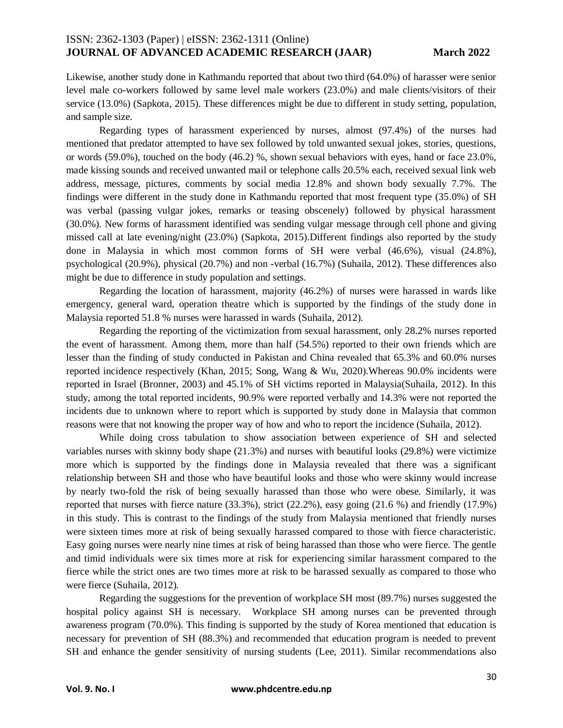Likewise, another study done in Kathmandu reported that about two third (64.0%) of harasser were senior level male co-workers followed by same level male workers (23.0%) and male clients/visitors of their service (13.0%) (Sapkota, 2015). These differences might be due to different in study setting, population, and sample size.

Regarding types of harassment experienced by nurses, almost (97.4%) of the nurses had mentioned that predator attempted to have sex followed by told unwanted sexual jokes, stories, questions, or words (59.0%), touched on the body (46.2) %, shown sexual behaviors with eyes, hand or face 23.0%, made kissing sounds and received unwanted mail or telephone calls 20.5% each, received sexual link web address, message, pictures, comments by social media 12.8% and shown body sexually 7.7%. The findings were different in the study done in Kathmandu reported that most frequent type (35.0%) of SH was verbal (passing vulgar jokes, remarks or teasing obscenely) followed by physical harassment (30.0%). New forms of harassment identified was sending vulgar message through cell phone and giving missed call at late evening/night (23.0%) (Sapkota, 2015).Different findings also reported by the study done in Malaysia in which most common forms of SH were verbal (46.6%), visual (24.8%), psychological (20.9%), physical (20.7%) and non -verbal (16.7%) (Suhaila, 2012). These differences also might be due to difference in study population and settings.

Regarding the location of harassment, majority (46.2%) of nurses were harassed in wards like emergency, general ward, operation theatre which is supported by the findings of the study done in Malaysia reported 51.8 % nurses were harassed in wards (Suhaila, 2012).

Regarding the reporting of the victimization from sexual harassment, only 28.2% nurses reported the event of harassment. Among them, more than half (54.5%) reported to their own friends which are lesser than the finding of study conducted in Pakistan and China revealed that 65.3% and 60.0% nurses reported incidence respectively (Khan, 2015; Song, Wang & Wu, 2020).Whereas 90.0% incidents were reported in Israel (Bronner, 2003) and 45.1% of SH victims reported in Malaysia(Suhaila, 2012). In this study, among the total reported incidents, 90.9% were reported verbally and 14.3% were not reported the incidents due to unknown where to report which is supported by study done in Malaysia that common reasons were that not knowing the proper way of how and who to report the incidence (Suhaila, 2012).

While doing cross tabulation to show association between experience of SH and selected variables nurses with skinny body shape (21.3%) and nurses with beautiful looks (29.8%) were victimize more which is supported by the findings done in Malaysia revealed that there was a significant relationship between SH and those who have beautiful looks and those who were skinny would increase by nearly two-fold the risk of being sexually harassed than those who were obese. Similarly, it was reported that nurses with fierce nature (33.3%), strict (22.2%), easy going (21.6 %) and friendly (17.9%) in this study. This is contrast to the findings of the study from Malaysia mentioned that friendly nurses were sixteen times more at risk of being sexually harassed compared to those with fierce characteristic. Easy going nurses were nearly nine times at risk of being harassed than those who were fierce. The gentle and timid individuals were six times more at risk for experiencing similar harassment compared to the fierce while the strict ones are two times more at risk to be harassed sexually as compared to those who were fierce (Suhaila, 2012).

Regarding the suggestions for the prevention of workplace SH most (89.7%) nurses suggested the hospital policy against SH is necessary. Workplace SH among nurses can be prevented through awareness program (70.0%). This finding is supported by the study of Korea mentioned that education is necessary for prevention of SH (88.3%) and recommended that education program is needed to prevent SH and enhance the gender sensitivity of nursing students (Lee, 2011). Similar recommendations also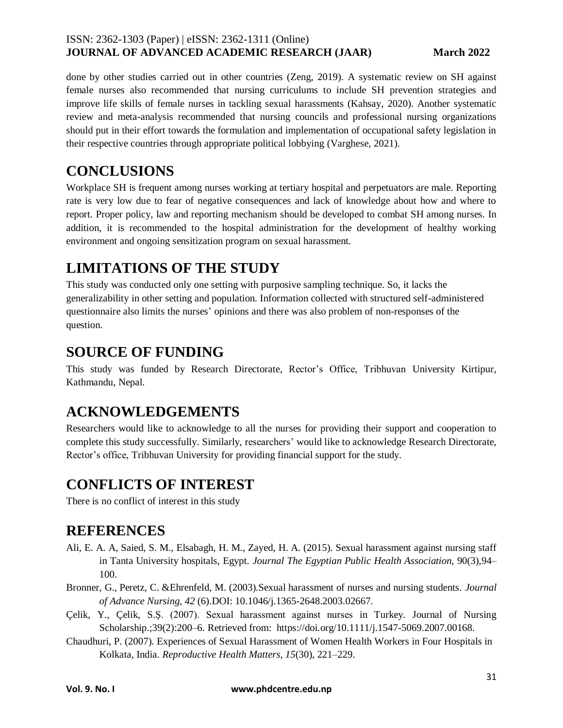done by other studies carried out in other countries (Zeng, 2019). A systematic review on SH against female nurses also recommended that nursing curriculums to include SH prevention strategies and improve life skills of female nurses in tackling sexual harassments (Kahsay, 2020). Another systematic review and meta-analysis recommended that nursing councils and professional nursing organizations should put in their effort towards the formulation and implementation of occupational safety legislation in their respective countries through appropriate political lobbying (Varghese, 2021).

# **CONCLUSIONS**

Workplace SH is frequent among nurses working at tertiary hospital and perpetuators are male. Reporting rate is very low due to fear of negative consequences and lack of knowledge about how and where to report. Proper policy, law and reporting mechanism should be developed to combat SH among nurses. In addition, it is recommended to the hospital administration for the development of healthy working environment and ongoing sensitization program on sexual harassment.

# **LIMITATIONS OF THE STUDY**

This study was conducted only one setting with purposive sampling technique. So, it lacks the generalizability in other setting and population. Information collected with structured self-administered questionnaire also limits the nurses' opinions and there was also problem of non-responses of the question.

## **SOURCE OF FUNDING**

This study was funded by Research Directorate, Rector's Office, Tribhuvan University Kirtipur, Kathmandu, Nepal.

## **ACKNOWLEDGEMENTS**

Researchers would like to acknowledge to all the nurses for providing their support and cooperation to complete this study successfully. Similarly, researchers' would like to acknowledge Research Directorate, Rector's office, Tribhuvan University for providing financial support for the study.

# **CONFLICTS OF INTEREST**

There is no conflict of interest in this study

## **REFERENCES**

- Ali, E. A. A, Saied, S. M., Elsabagh, H. M., Zayed, H. A. (2015). Sexual harassment against nursing staff in Tanta University hospitals, Egypt. *Journal The Egyptian Public Health Association*, 90(3),94– 100.
- Bronner, G., Peretz, C. &Ehrenfeld, M. (2003).Sexual harassment of nurses and nursing students. *Journal of Advance Nursing, 42* (6).DOI: 10.1046/j.1365-2648.2003.02667.
- Çelik, Y., Çelik, S.Ş. (2007). Sexual harassment against nurses in Turkey. Journal of Nursing Scholarship.:39(2):200–6. Retrieved from: [https://doi.org/10.1111/j.1547-5069.2007.00168.](https://doi.org/10.1111/j.1547-5069.2007.00168.x)
- Chaudhuri, P. (2007). Experiences of Sexual Harassment of Women Health Workers in Four Hospitals in Kolkata, India. *Reproductive Health Matters*, *15*(30), 221–229.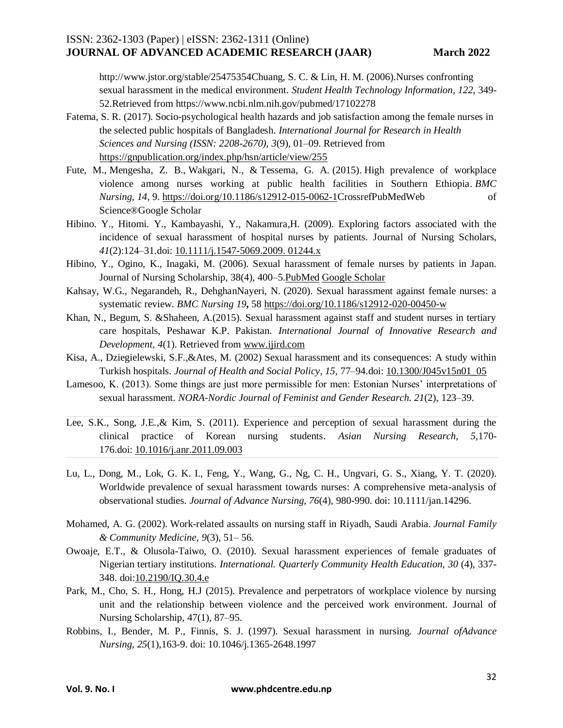http://www.jstor.org/stable/25475354Chuang, S. C. & Lin, H. M. (2006).Nurses confronting sexual harassment in the medical environment. *Student Health Technology Information*, *122*, 349- 52.Retrieved from https://www.ncbi.nlm.nih.gov/pubmed/17102278

- Fatema, S. R. (2017). Socio-psychological health hazards and job satisfaction among the female nurses in the selected public hospitals of Bangladesh. *International Journal for Research in Health Sciences and Nursing (ISSN: 2208-2670)*, *3*(9), 01–09. Retrieved from <https://gnpublication.org/index.php/hsn/article/view/255>
- Fute, M., Mengesha, Z. B., Wakgari, N., & Tessema, G. A. (2015). High prevalence of workplace violence among nurses working at public health facilities in Southern Ethiopia. *BMC Nursing*, *14*, 9. [https://doi.org/10.1186/s12912-015-0062-1Crossref](https://doi.org/10.1186/s12912-015-0062-1)[PubMedWeb of](https://onlinelibrary.wiley.com/servlet/linkout?suffix=null&dbid=8&doi=10.1111%2Fjan.14296&key=25767412)  [Science®Google Scholar](https://onlinelibrary.wiley.com/servlet/linkout?suffix=null&dbid=128&doi=10.1111%2Fjan.14296&key=000210484900008)
- Hibino. Y., Hitomi. Y., Kambayashi, Y., Nakamura,H. (2009). Exploring factors associated with the incidence of sexual harassment of hospital nurses by patients. Journal of Nursing Scholars, *41*(2):124–31.doi: [10.1111/j.1547-5069.2009. 01244.x](https://doi.org/10.1111/j.1547-5069.2009.01244.x)
- Hibino, Y., Ogino, K., Inagaki, M. (2006). Sexual harassment of female nurses by patients in Japan. Journal of Nursing Scholarship, 38(4), 400–5. PubMed [Google Scholar](http://scholar.google.com/scholar_lookup?&title=Sexual%20harassment%20of%20female%20nurses%20by%20patients%20in%20Japan&journal=J%20Nurs%20Scholarsh&volume=38&issue=4&pages=400-405&publication_year=2006&author=Hibino%2CY&author=Ogino%2CK&author=Inagaki%2CM)
- Kahsay, W.G., Negarandeh, R., DehghanNayeri, N. (2020). Sexual harassment against female nurses: a systematic review. *BMC Nursing 19***,** 58<https://doi.org/10.1186/s12912-020-00450-w>
- Khan, N., Begum, S. &Shaheen, A.(2015). Sexual harassment against staff and student nurses in tertiary care hospitals, Peshawar K.P. Pakistan. *International Journal of Innovative Research and Development, 4*(1). Retrieved from [www.ijird.com](http://www.ijird.com/)
- Kisa, A., Dziegielewski, S.F.,&Ates, M. (2002) Sexual harassment and its consequences: A study within Turkish hospitals. *Journal of Health and Social Policy, 15*, 77–94.doi: [10.1300/J045v15n01\\_05](https://doi.org/10.1300/j045v15n01_05)
- Lamesoo, K. (2013). Some things are just more permissible for men: Estonian Nurses' interpretations of sexual harassment. *NORA-Nordic Journal of Feminist and Gender Research. 21*(2), 123–39.
- Lee, S.K., Song, J.E.,& Kim, S. (2011). Experience and perception of sexual harassment during the clinical practice of Korean nursing students. *Asian Nursing Research, 5*,170- 176.doi: [10.1016/j.anr.2011.09.003](https://doi.org/10.1016/j.anr.2011.09.003)
- Lu, L., Dong, M., Lok, G. K. I., Feng, Y., Wang, G., Ng, C. H., Ungvari, G. S., Xiang, Y. T. (2020). Worldwide prevalence of sexual harassment towards nurses: A comprehensive meta-analysis of observational studies. *Journal of Advance Nursing, 76*(4), 980-990. doi: 10.1111/jan.14296.
- Mohamed, A. G. (2002). Work-related assaults on nursing staff in Riyadh, Saudi Arabia. *Journal Family & Community Medicine*, *9*(3), 51– 56.
- Owoaje, E.T., & Olusola-Taiwo, O. (2010). Sexual harassment experiences of female graduates of Nigerian tertiary institutions. *International. Quarterly Community Health Education*, *30* (4), 337- 348. doi[:10.2190/IQ.30.4.e](https://doi.org/10.2190/IQ.30.4.e)
- Park, M., Cho, S. H., Hong, H.J (2015). Prevalence and perpetrators of workplace violence by nursing unit and the relationship between violence and the perceived work environment. Journal of Nursing Scholarship, 47(1), 87–95.
- Robbins, I., Bender, M. P., Finnis, S. J. (1997). Sexual harassment in nursing. *Journal ofAdvance Nursing, 25*(1),163-9. doi: 10.1046/j.1365-2648.1997